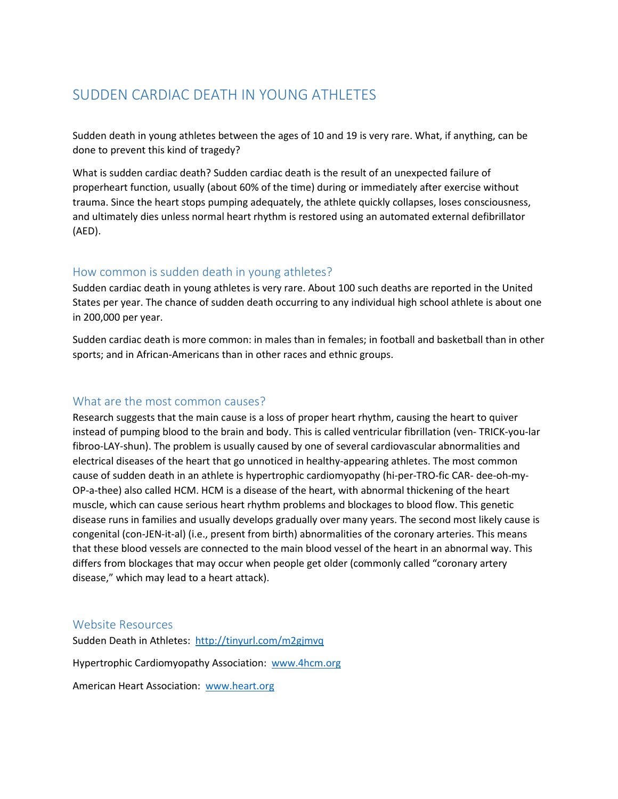# SUDDEN CARDIAC DEATH IN YOUNG ATHLETES

Sudden death in young athletes between the ages of 10 and 19 is very rare. What, if anything, can be done to prevent this kind of tragedy?

What is sudden cardiac death? Sudden cardiac death is the result of an unexpected failure of properheart function, usually (about 60% of the time) during or immediately after exercise without trauma. Since the heart stops pumping adequately, the athlete quickly collapses, loses consciousness, and ultimately dies unless normal heart rhythm is restored using an automated external defibrillator (AED).

### How common is sudden death in young athletes?

Sudden cardiac death in young athletes is very rare. About 100 such deaths are reported in the United States per year. The chance of sudden death occurring to any individual high school athlete is about one in 200,000 per year.

Sudden cardiac death is more common: in males than in females; in football and basketball than in other sports; and in African-Americans than in other races and ethnic groups.

### What are the most common causes?

Research suggests that the main cause is a loss of proper heart rhythm, causing the heart to quiver instead of pumping blood to the brain and body. This is called ventricular fibrillation (ven- TRICK-you-lar fibroo-LAY-shun). The problem is usually caused by one of several cardiovascular abnormalities and electrical diseases of the heart that go unnoticed in healthy-appearing athletes. The most common cause of sudden death in an athlete is hypertrophic cardiomyopathy (hi-per-TRO-fic CAR- dee-oh-my-OP-a-thee) also called HCM. HCM is a disease of the heart, with abnormal thickening of the heart muscle, which can cause serious heart rhythm problems and blockages to blood flow. This genetic disease runs in families and usually develops gradually over many years. The second most likely cause is congenital (con-JEN-it-al) (i.e., present from birth) abnormalities of the coronary arteries. This means that these blood vessels are connected to the main blood vessel of the heart in an abnormal way. This differs from blockages that may occur when people get older (commonly called "coronary artery disease," which may lead to a heart attack).

### Website Resources

Sudden Death in Athletes:<http://tinyurl.com/m2gjmvq>

Hypertrophic Cardiomyopathy Association: [www.4hcm.org](http://www.4hcm.org/)

American Heart Association: [www.heart.org](http://www.heart.org/)